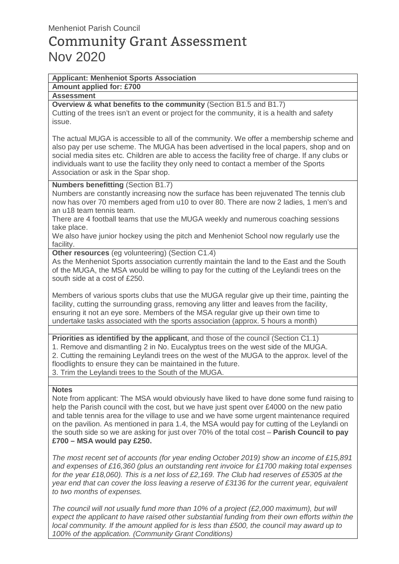# Community Grant Assessment Nov 2020

## **Applicant: Menheniot Sports Association**

### **Amount applied for: £700**

#### **Assessment**

**Overview & what benefits to the community** (Section B1.5 and B1.7) Cutting of the trees isn't an event or project for the community, it is a health and safety issue.

The actual MUGA is accessible to all of the community. We offer a membership scheme and also pay per use scheme. The MUGA has been advertised in the local papers, shop and on social media sites etc. Children are able to access the facility free of charge. If any clubs or individuals want to use the facility they only need to contact a member of the Sports Association or ask in the Spar shop.

#### **Numbers benefitting** (Section B1.7)

Numbers are constantly increasing now the surface has been rejuvenated The tennis club now has over 70 members aged from u10 to over 80. There are now 2 ladies, 1 men's and an u18 team tennis team.

There are 4 football teams that use the MUGA weekly and numerous coaching sessions take place.

We also have junior hockey using the pitch and Menheniot School now regularly use the facility.

**Other resources** (eg volunteering) (Section C1.4)

As the Menheniot Sports association currently maintain the land to the East and the South of the MUGA, the MSA would be willing to pay for the cutting of the Leylandi trees on the south side at a cost of £250.

Members of various sports clubs that use the MUGA regular give up their time, painting the facility, cutting the surrounding grass, removing any litter and leaves from the facility, ensuring it not an eye sore. Members of the MSA regular give up their own time to undertake tasks associated with the sports association (approx. 5 hours a month)

**Priorities as identified by the applicant**, and those of the council (Section C1.1)

1. Remove and dismantling 2 in No. Eucalyptus trees on the west side of the MUGA. 2. Cutting the remaining Leylandi trees on the west of the MUGA to the approx. level of the floodlights to ensure they can be maintained in the future. 3. Trim the Leylandi trees to the South of the MUGA.

#### **Notes**

Note from applicant: The MSA would obviously have liked to have done some fund raising to help the Parish council with the cost, but we have just spent over £4000 on the new patio and table tennis area for the village to use and we have some urgent maintenance required on the pavilion. As mentioned in para 1.4, the MSA would pay for cutting of the Leylandi on the south side so we are asking for just over 70% of the total cost – **Parish Council to pay £700 – MSA would pay £250.** 

The most recent set of accounts (for year ending October 2019) show an income of £15,891 and expenses of £16,360 (plus an outstanding rent invoice for £1700 making total expenses for the year £18,060). This is a net loss of £2,169. The Club had reserves of £5305 at the year end that can cover the loss leaving a reserve of £3136 for the current year, equivalent to two months of expenses.

The council will not usually fund more than 10% of a project (£2,000 maximum), but will expect the applicant to have raised other substantial funding from their own efforts within the local community. If the amount applied for is less than £500, the council may award up to 100% of the application. (Community Grant Conditions)